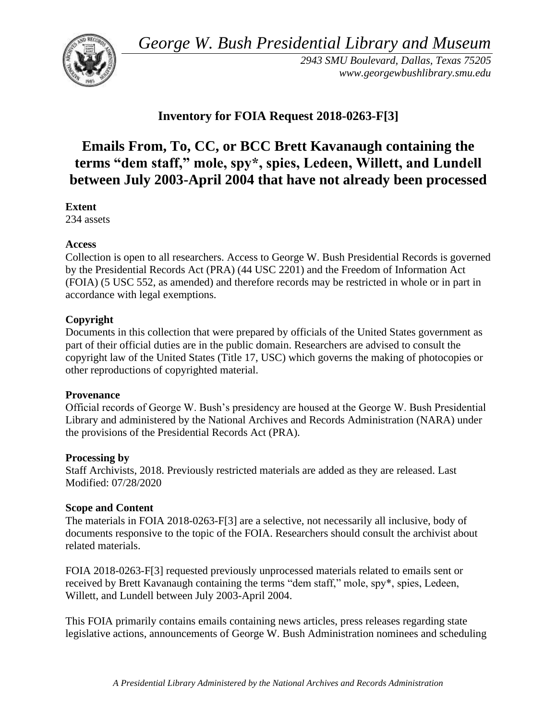*George W. Bush Presidential Library and Museum* 



*2943 SMU Boulevard, Dallas, Texas 75205 <www.georgewbushlibrary.smu.edu>*

# **Inventory for FOIA Request 2018-0263-F[3]**

# **Emails From, To, CC, or BCC Brett Kavanaugh containing the terms "dem staff," mole, spy\*, spies, Ledeen, Willett, and Lundell between July 2003-April 2004 that have not already been processed**

**Extent** 

234 assets

#### **Access**

Collection is open to all researchers. Access to George W. Bush Presidential Records is governed by the Presidential Records Act (PRA) (44 USC 2201) and the Freedom of Information Act (FOIA) (5 USC 552, as amended) and therefore records may be restricted in whole or in part in accordance with legal exemptions.

### **Copyright**

Documents in this collection that were prepared by officials of the United States government as part of their official duties are in the public domain. Researchers are advised to consult the copyright law of the United States (Title 17, USC) which governs the making of photocopies or other reproductions of copyrighted material.

#### **Provenance**

 Official records of George W. Bush's presidency are housed at the George W. Bush Presidential Library and administered by the National Archives and Records Administration (NARA) under the provisions of the Presidential Records Act (PRA).

#### **Processing by**

Staff Archivists, 2018. Previously restricted materials are added as they are released. Last Modified: 07/28/2020

## **Scope and Content**

The materials in FOIA 2018-0263-F[3] are a selective, not necessarily all inclusive, body of documents responsive to the topic of the FOIA. Researchers should consult the archivist about related materials.

FOIA 2018-0263-F[3] requested previously unprocessed materials related to emails sent or received by Brett Kavanaugh containing the terms "dem staff," mole, spy\*, spies, Ledeen, Willett, and Lundell between July 2003-April 2004.

This FOIA primarily contains emails containing news articles, press releases regarding state legislative actions, announcements of George W. Bush Administration nominees and scheduling